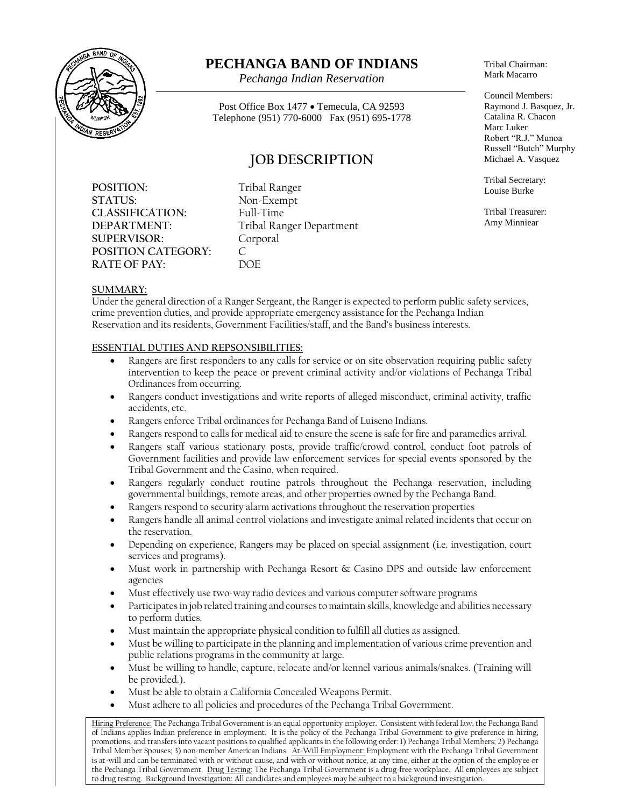

# **PECHANGA BAND OF INDIANS**

*Pechanga Indian Reservation*

Post Office Box 1477 • Temecula, CA 92593 Telephone (951) 770-6000 Fax (951) 695-1778

## **JOB DESCRIPTION**

**POSITION:** Tribal Ranger **STATUS:** Non-Exempt **CLASSIFICATION:** Full-Time **SUPERVISOR:** Corporal **POSITION CATEGORY:** C<br>**RATE OF PAY:** DOF **RATE OF PAY:** 

**DEPARTMENT:** Tribal Ranger Department

Tribal Chairman: Mark Macarro

Council Members: Raymond J. Basquez, Jr. Catalina R. Chacon Marc Luker Robert "R.J." Munoa Russell "Butch" Murphy Michael A. Vasquez

Tribal Secretary: Louise Burke

Tribal Treasurer: Amy Minniear

### **SUMMARY:**

Under the general direction of a Ranger Sergeant, the Ranger is expected to perform public safety services, crime prevention duties, and provide appropriate emergency assistance for the Pechanga Indian Reservation and its residents, Government Facilities/staff, and the Band's business interests.

### **ESSENTIAL DUTIES AND REPSONSIBILITIES:**

- Rangers are first responders to any calls for service or on site observation requiring public safety intervention to keep the peace or prevent criminal activity and/or violations of Pechanga Tribal Ordinances from occurring.
- Rangers conduct investigations and write reports of alleged misconduct, criminal activity, traffic accidents, etc.
- Rangers enforce Tribal ordinances for Pechanga Band of Luiseno Indians.
- Rangers respond to calls for medical aid to ensure the scene is safe for fire and paramedics arrival.
- Rangers staff various stationary posts, provide traffic/crowd control, conduct foot patrols of Government facilities and provide law enforcement services for special events sponsored by the Tribal Government and the Casino, when required.
- Rangers regularly conduct routine patrols throughout the Pechanga reservation, including governmental buildings, remote areas, and other properties owned by the Pechanga Band.
- Rangers respond to security alarm activations throughout the reservation properties
- Rangers handle all animal control violations and investigate animal related incidents that occur on the reservation.
- Depending on experience, Rangers may be placed on special assignment (i.e. investigation, court services and programs).
- Must work in partnership with Pechanga Resort  $\&$  Casino DPS and outside law enforcement agencies
- Must effectively use two-way radio devices and various computer software programs
- Participates in job related training and courses to maintain skills, knowledge and abilities necessary to perform duties.
- Must maintain the appropriate physical condition to fulfill all duties as assigned.
- Must be willing to participate in the planning and implementation of various crime prevention and public relations programs in the community at large.
- Must be willing to handle, capture, relocate and/or kennel various animals/snakes. (Training will be provided.).
- Must be able to obtain a California Concealed Weapons Permit.
- Must adhere to all policies and procedures of the Pechanga Tribal Government.

Hiring Preference: The Pechanga Tribal Government is an equal opportunity employer. Consistent with federal law, the Pechanga Band of Indians applies Indian preference in employment. It is the policy of the Pechanga Tribal Government to give preference in hiring, promotions, and transfers into vacant positions to qualified applicants in the following order: 1) Pechanga Tribal Members; 2) Pechanga Tribal Member Spouses; 3) non-member American Indians. At-Will Employment: Employment with the Pechanga Tribal Government is at-will and can be terminated with or without cause, and with or without notice, at any time, either at the option of the employee or the Pechanga Tribal Government. Drug Testing: The Pechanga Tribal Government is a drug-free workplace. All employees are subject to drug testing. <u>Background Investigation:</u> All candidates and employees may be subject to a background investigation.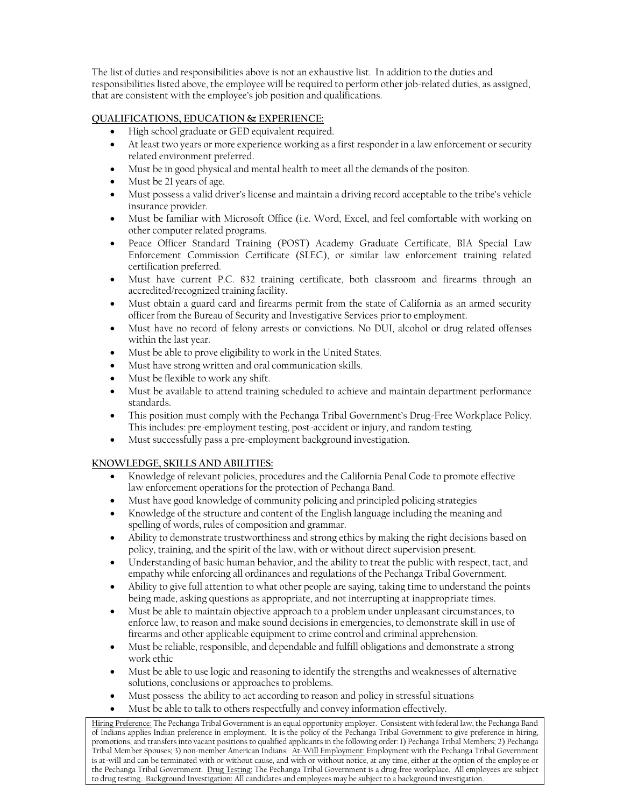The list of duties and responsibilities above is not an exhaustive list. In addition to the duties and responsibilities listed above, the employee will be required to perform other job-related duties, as assigned, that are consistent with the employee's job position and qualifications.

### **QUALIFICATIONS, EDUCATION & EXPERIENCE:**

- High school graduate or GED equivalent required.
- At least two years or more experience working as a first responder in a law enforcement or security related environment preferred.
- Must be in good physical and mental health to meet all the demands of the positon.
- Must be 21 years of age.
- Must possess a valid driver's license and maintain a driving record acceptable to the tribe's vehicle insurance provider.
- Must be familiar with Microsoft Office (i.e. Word, Excel, and feel comfortable with working on other computer related programs.
- Peace Officer Standard Training (POST) Academy Graduate Certificate, BIA Special Law Enforcement Commission Certificate (SLEC), or similar law enforcement training related certification preferred.
- Must have current P.C. 832 training certificate, both classroom and firearms through an accredited/recognized training facility.
- Must obtain a guard card and firearms permit from the state of California as an armed security officer from the Bureau of Security and Investigative Services prior to employment.
- Must have no record of felony arrests or convictions. No DUI, alcohol or drug related offenses within the last year.
- Must be able to prove eligibility to work in the United States.
- Must have strong written and oral communication skills.
- Must be flexible to work any shift.
- Must be available to attend training scheduled to achieve and maintain department performance standards.
- This position must comply with the Pechanga Tribal Government's Drug-Free Workplace Policy. This includes: pre-employment testing, post-accident or injury, and random testing.
- Must successfully pass a pre-employment background investigation.

### **KNOWLEDGE, SKILLS AND ABILITIES:**

- Knowledge of relevant policies, procedures and the California Penal Code to promote effective law enforcement operations for the protection of Pechanga Band.
- Must have good knowledge of community policing and principled policing strategies
- Knowledge of the structure and content of the English language including the meaning and spelling of words, rules of composition and grammar.
- Ability to demonstrate trustworthiness and strong ethics by making the right decisions based on policy, training, and the spirit of the law, with or without direct supervision present.
- Understanding of basic human behavior, and the ability to treat the public with respect, tact, and empathy while enforcing all ordinances and regulations of the Pechanga Tribal Government.
- Ability to give full attention to what other people are saying, taking time to understand the points being made, asking questions as appropriate, and not interrupting at inappropriate times.
- Must be able to maintain objective approach to a problem under unpleasant circumstances, to enforce law, to reason and make sound decisions in emergencies, to demonstrate skill in use of firearms and other applicable equipment to crime control and criminal apprehension.
- Must be reliable, responsible, and dependable and fulfill obligations and demonstrate a strong work ethic
- Must be able to use logic and reasoning to identify the strengths and weaknesses of alternative solutions, conclusions or approaches to problems.
- Must possess the ability to act according to reason and policy in stressful situations
- Must be able to talk to others respectfully and convey information effectively.

Hiring Preference: The Pechanga Tribal Government is an equal opportunity employer. Consistent with federal law, the Pechanga Band of Indians applies Indian preference in employment. It is the policy of the Pechanga Tribal Government to give preference in hiring, promotions, and transfers into vacant positions to qualified applicants in the following order: 1) Pechanga Tribal Members; 2) Pechanga Tribal Member Spouses; 3) non-member American Indians. At-Will Employment: Employment with the Pechanga Tribal Government is at-will and can be terminated with or without cause, and with or without notice, at any time, either at the option of the employee or the Pechanga Tribal Government. Drug Testing: The Pechanga Tribal Government is a drug-free workplace. All employees are subject to drug testing. <u>Background Investigation:</u> All candidates and employees may be subject to a background investigation.